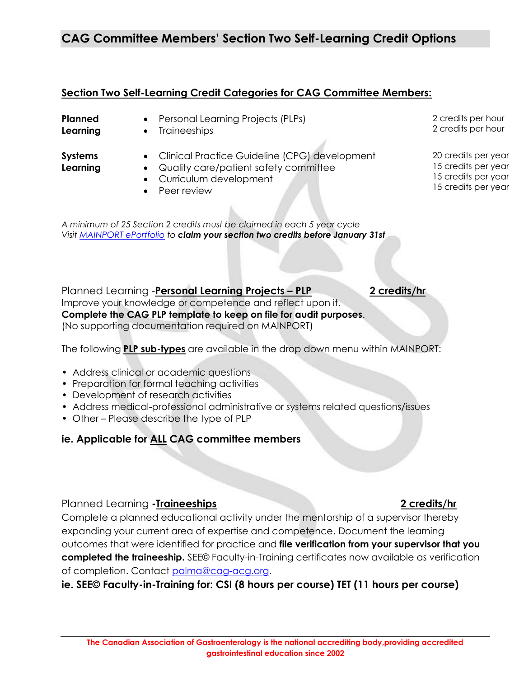Improve your knowledge or competence and reflect upon it. **Complete the CAG PLP template to keep on file for audit purposes**.

(No supporting documentation required on MAINPORT)

The following **PLP sub-types** are available in the drop down menu within MAINPORT:

- Preparation for formal teaching activities
- Development of research activities
- Address medical-professional administrative or systems related questions/issues
- Other Please describe the type of PLP

### **ie. Applicable for ALL CAG committee members**

### Planned Learning **-Traineeships 2 credits/hr**

Complete a planned educational activity under the mentorship of a supervisor thereby expanding your current area of expertise and competence. Document the learning outcomes that were identified for practice and **file verification from your supervisor that you completed the traineeship.** SEE© Faculty-in-Training certificates now available as verification of completion. Contact [palma@cag-acg.org.](mailto:palma@cag-acg.org)

**ie. SEE© Faculty-in-Training for: CSI (8 hours per course) TET (11 hours per course)** 

# **CAG Committee Members' Section Two Self-Learning Credit Options**

## **Section Two Self-Learning Credit Categories for CAG Committee Members:**

**Planned Learning**

- Personal Learning Projects (PLPs)
- Traineeships

**Systems Learning**

- Clinical Practice Guideline (CPG) development
- Quality care/patient safety committee Curriculum development

*A minimum of 25 Section 2 credits must be claimed in each 5 year cycle Visit [MAINPORT ePortfolio](https://login.royalcollege.ca/oamlogin/login.jsp) to claim your section two credits before January 31st*

• Peer review

2 credits per hour 2 credits per hour

20 credits per year 15 credits per year 15 credits per year 15 credits per year

Planned Learning -**Personal Learning Projects – PLP 2 credits/hr**